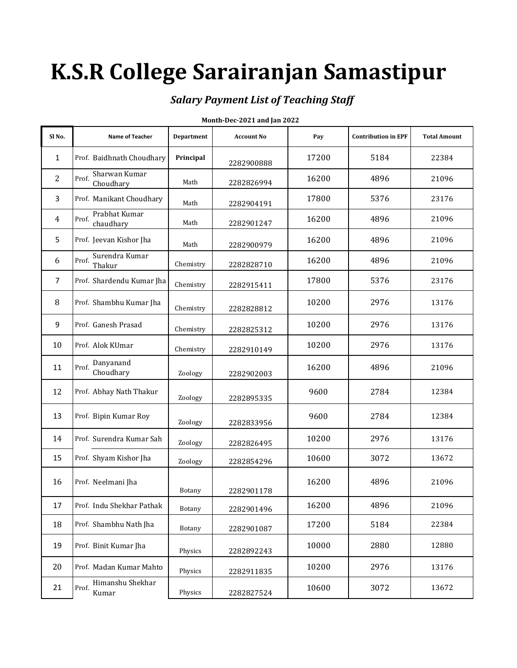# **K.S.R College Sarairanjan Samastipur**

## *Salary Payment List of Teaching Staff*

| Sl No.         | <b>Name of Teacher</b>              | <b>Department</b> | <b>Account No</b> | Pay   | <b>Contribution in EPF</b> | <b>Total Amount</b> |
|----------------|-------------------------------------|-------------------|-------------------|-------|----------------------------|---------------------|
| $\mathbf{1}$   | Prof. Baidhnath Choudhary           | Principal         | 2282900888        | 17200 | 5184                       | 22384               |
| $\overline{2}$ | Sharwan Kumar<br>Prof.<br>Choudhary | Math              | 2282826994        | 16200 | 4896                       | 21096               |
| 3              | Prof. Manikant Choudhary            | Math              | 2282904191        | 17800 | 5376                       | 23176               |
| $\overline{4}$ | Prabhat Kumar<br>Prof.<br>chaudhary | Math              | 2282901247        | 16200 | 4896                       | 21096               |
| 5              | Prof. Jeevan Kishor Jha             | Math              | 2282900979        | 16200 | 4896                       | 21096               |
| 6              | Surendra Kumar<br>Prof.<br>Thakur   | Chemistry         | 2282828710        | 16200 | 4896                       | 21096               |
| $\overline{7}$ | Prof. Shardendu Kumar Jha           | Chemistry         | 2282915411        | 17800 | 5376                       | 23176               |
| 8              | Prof. Shambhu Kumar Jha             | Chemistry         | 2282828812        | 10200 | 2976                       | 13176               |
| 9              | Prof. Ganesh Prasad                 | Chemistry         | 2282825312        | 10200 | 2976                       | 13176               |
| 10             | Prof. Alok KUmar                    | Chemistry         | 2282910149        | 10200 | 2976                       | 13176               |
| 11             | Danyanand<br>Prof.<br>Choudhary     | Zoology           | 2282902003        | 16200 | 4896                       | 21096               |
| 12             | Prof. Abhay Nath Thakur             | Zoology           | 2282895335        | 9600  | 2784                       | 12384               |
| 13             | Prof. Bipin Kumar Roy               | Zoology           | 2282833956        | 9600  | 2784                       | 12384               |
| 14             | Prof. Surendra Kumar Sah            | Zoology           | 2282826495        | 10200 | 2976                       | 13176               |
| 15             | Prof. Shyam Kishor Jha              | Zoology           | 2282854296        | 10600 | 3072                       | 13672               |
| 16             | Prof. Neelmani Jha                  | Botany            | 2282901178        | 16200 | 4896                       | 21096               |
| 17             | Prof. Indu Shekhar Pathak           | Botany            | 2282901496        | 16200 | 4896                       | 21096               |
| 18             | Prof. Shambhu Nath Jha              | Botany            | 2282901087        | 17200 | 5184                       | 22384               |
| 19             | Prof. Binit Kumar Jha               | Physics           | 2282892243        | 10000 | 2880                       | 12880               |
| 20             | Prof. Madan Kumar Mahto             | Physics           | 2282911835        | 10200 | 2976                       | 13176               |
| 21             | Himanshu Shekhar<br>Prof.<br>Kumar  | Physics           | 2282827524        | 10600 | 3072                       | 13672               |

#### **Month-Dec-2021 and Jan 2022**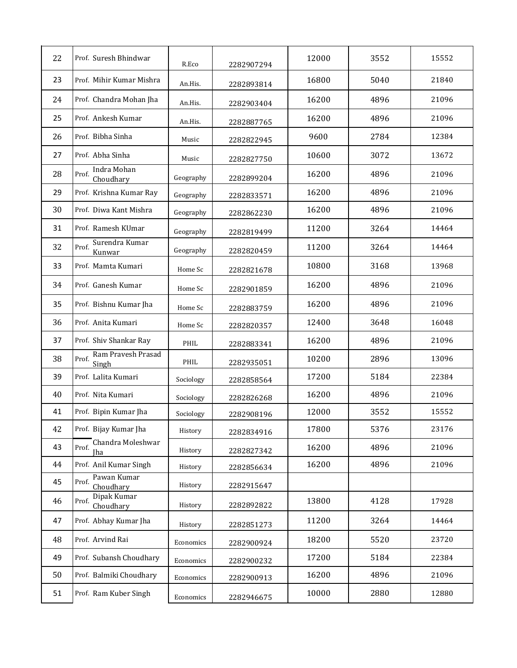| 22 | Prof. Suresh Bhindwar                    | R.Eco     | 2282907294 | 12000 | 3552 | 15552 |
|----|------------------------------------------|-----------|------------|-------|------|-------|
| 23 | Prof. Mihir Kumar Mishra                 | An.His.   | 2282893814 | 16800 | 5040 | 21840 |
| 24 | Prof. Chandra Mohan Jha                  | An.His.   | 2282903404 | 16200 | 4896 | 21096 |
| 25 | Prof. Ankesh Kumar                       | An.His.   | 2282887765 | 16200 | 4896 | 21096 |
| 26 | Prof. Bibha Sinha                        | Music     | 2282822945 | 9600  | 2784 | 12384 |
| 27 | Prof. Abha Sinha                         | Music     | 2282827750 | 10600 | 3072 | 13672 |
| 28 | Indra Mohan<br>Prof.<br>Choudhary        | Geography | 2282899204 | 16200 | 4896 | 21096 |
| 29 | Prof. Krishna Kumar Ray                  | Geography | 2282833571 | 16200 | 4896 | 21096 |
| 30 | Prof. Diwa Kant Mishra                   | Geography | 2282862230 | 16200 | 4896 | 21096 |
| 31 | Prof. Ramesh KUmar                       | Geography | 2282819499 | 11200 | 3264 | 14464 |
| 32 | Surendra Kumar<br>Prof.<br>Kunwar        | Geography | 2282820459 | 11200 | 3264 | 14464 |
| 33 | Prof. Mamta Kumari                       | Home Sc   | 2282821678 | 10800 | 3168 | 13968 |
| 34 | Prof. Ganesh Kumar                       | Home Sc   | 2282901859 | 16200 | 4896 | 21096 |
| 35 | Prof. Bishnu Kumar Jha                   | Home Sc   | 2282883759 | 16200 | 4896 | 21096 |
| 36 | Prof. Anita Kumari                       | Home Sc   | 2282820357 | 12400 | 3648 | 16048 |
| 37 | Prof. Shiv Shankar Ray                   | PHIL      | 2282883341 | 16200 | 4896 | 21096 |
| 38 | Ram Pravesh Prasad<br>Prof.<br>Singh     | PHIL      | 2282935051 | 10200 | 2896 | 13096 |
| 39 | Prof. Lalita Kumari                      | Sociology | 2282858564 | 17200 | 5184 | 22384 |
| 40 | Prof. Nita Kumari                        | Sociology | 2282826268 | 16200 | 4896 | 21096 |
| 41 | Prof. Bipin Kumar Jha                    | Sociology | 2282908196 | 12000 | 3552 | 15552 |
| 42 | Prof. Bijay Kumar Jha                    | History   | 2282834916 | 17800 | 5376 | 23176 |
| 43 | Chandra Moleshwar<br>Prof.<br><b>Iha</b> | History   | 2282827342 | 16200 | 4896 | 21096 |
| 44 | Prof. Anil Kumar Singh                   | History   | 2282856634 | 16200 | 4896 | 21096 |
| 45 | Pawan Kumar<br>Prof.<br>Choudhary        | History   | 2282915647 |       |      |       |
| 46 | Dipak Kumar<br>Prof.<br>Choudhary        | History   | 2282892822 | 13800 | 4128 | 17928 |
| 47 | Prof. Abhay Kumar Jha                    | History   | 2282851273 | 11200 | 3264 | 14464 |
| 48 | Prof. Arvind Rai                         | Economics | 2282900924 | 18200 | 5520 | 23720 |
| 49 | Prof. Subansh Choudhary                  | Economics | 2282900232 | 17200 | 5184 | 22384 |
| 50 | Prof. Balmiki Choudhary                  | Economics | 2282900913 | 16200 | 4896 | 21096 |
| 51 | Prof. Ram Kuber Singh                    | Economics | 2282946675 | 10000 | 2880 | 12880 |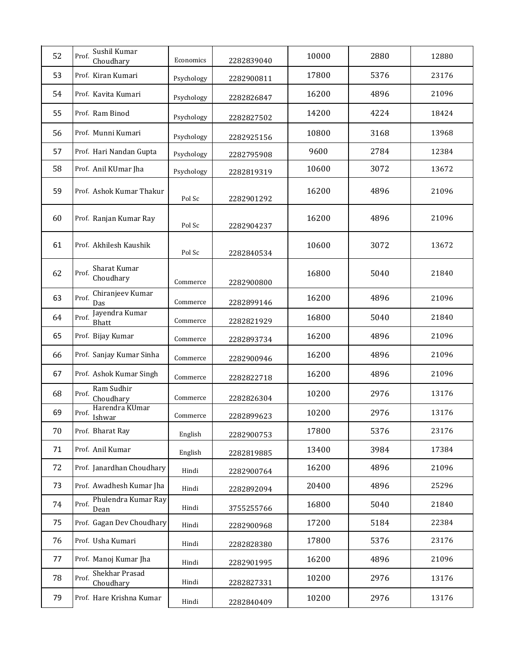| 52 | Sushil Kumar<br>Prof.<br>Choudhary   | Economics  | 2282839040 | 10000 | 2880 | 12880 |
|----|--------------------------------------|------------|------------|-------|------|-------|
| 53 | Prof. Kiran Kumari                   | Psychology | 2282900811 | 17800 | 5376 | 23176 |
| 54 | Prof. Kavita Kumari                  | Psychology | 2282826847 | 16200 | 4896 | 21096 |
| 55 | Prof. Ram Binod                      | Psychology | 2282827502 | 14200 | 4224 | 18424 |
| 56 | Prof. Munni Kumari                   | Psychology | 2282925156 | 10800 | 3168 | 13968 |
| 57 | Prof. Hari Nandan Gupta              | Psychology | 2282795908 | 9600  | 2784 | 12384 |
| 58 | Prof. Anil KUmar Jha                 | Psychology | 2282819319 | 10600 | 3072 | 13672 |
| 59 | Prof. Ashok Kumar Thakur             | Pol Sc     | 2282901292 | 16200 | 4896 | 21096 |
| 60 | Prof. Ranjan Kumar Ray               | Pol Sc     | 2282904237 | 16200 | 4896 | 21096 |
| 61 | Prof. Akhilesh Kaushik               | Pol Sc     | 2282840534 | 10600 | 3072 | 13672 |
| 62 | Sharat Kumar<br>Prof.<br>Choudhary   | Commerce   | 2282900800 | 16800 | 5040 | 21840 |
| 63 | Chiranjeev Kumar<br>Prof.<br>Das     | Commerce   | 2282899146 | 16200 | 4896 | 21096 |
| 64 | Jayendra Kumar<br>Prof.<br>Bhatt     | Commerce   | 2282821929 | 16800 | 5040 | 21840 |
| 65 | Prof. Bijay Kumar                    | Commerce   | 2282893734 | 16200 | 4896 | 21096 |
| 66 | Prof. Sanjay Kumar Sinha             | Commerce   | 2282900946 | 16200 | 4896 | 21096 |
| 67 | Prof. Ashok Kumar Singh              | Commerce   | 2282822718 | 16200 | 4896 | 21096 |
| 68 | Ram Sudhir<br>Prof.<br>Choudhary     | Commerce   | 2282826304 | 10200 | 2976 | 13176 |
| 69 | Harendra KUmar<br>Prof.<br>Ishwar    | Commerce   | 2282899623 | 10200 | 2976 | 13176 |
| 70 | Prof. Bharat Ray                     | English    | 2282900753 | 17800 | 5376 | 23176 |
| 71 | Prof. Anil Kumar                     | English    | 2282819885 | 13400 | 3984 | 17384 |
| 72 | Prof. Janardhan Choudhary            | Hindi      | 2282900764 | 16200 | 4896 | 21096 |
| 73 | Prof. Awadhesh Kumar Jha             | Hindi      | 2282892094 | 20400 | 4896 | 25296 |
| 74 | Phulendra Kumar Ray<br>Prof.<br>Dean | Hindi      | 3755255766 | 16800 | 5040 | 21840 |
| 75 | Prof. Gagan Dev Choudhary            | Hindi      | 2282900968 | 17200 | 5184 | 22384 |
| 76 | Prof. Usha Kumari                    | Hindi      | 2282828380 | 17800 | 5376 | 23176 |
| 77 | Prof. Manoj Kumar Jha                | Hindi      | 2282901995 | 16200 | 4896 | 21096 |
| 78 | Shekhar Prasad<br>Prof.<br>Choudhary | Hindi      | 2282827331 | 10200 | 2976 | 13176 |
| 79 | Prof. Hare Krishna Kumar             | Hindi      | 2282840409 | 10200 | 2976 | 13176 |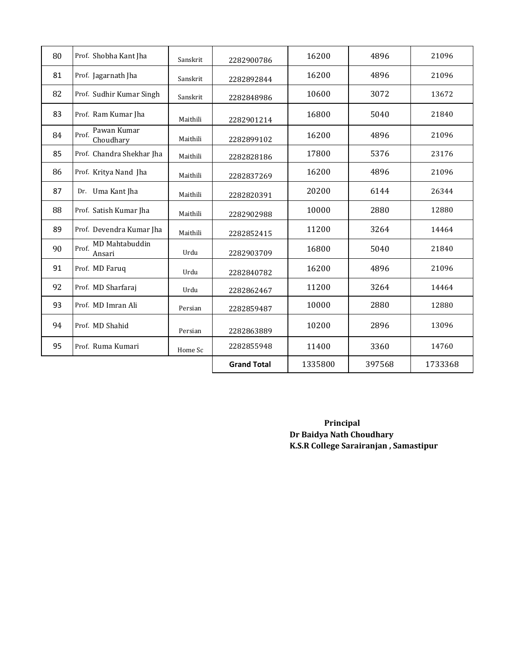| 80 | Prof. Shobha Kant Jha             | Sanskrit | 2282900786         | 16200   | 4896   | 21096   |
|----|-----------------------------------|----------|--------------------|---------|--------|---------|
| 81 | Prof. Jagarnath Jha               | Sanskrit | 2282892844         | 16200   | 4896   | 21096   |
| 82 | Prof. Sudhir Kumar Singh          | Sanskrit | 2282848986         | 10600   | 3072   | 13672   |
| 83 | Prof. Ram Kumar Jha               | Maithili | 2282901214         | 16800   | 5040   | 21840   |
| 84 | Pawan Kumar<br>Prof.<br>Choudhary | Maithili | 2282899102         | 16200   | 4896   | 21096   |
| 85 | Prof. Chandra Shekhar Jha         | Maithili | 2282828186         | 17800   | 5376   | 23176   |
| 86 | Prof. Kritya Nand Jha             | Maithili | 2282837269         | 16200   | 4896   | 21096   |
| 87 | Dr. Uma Kant Jha                  | Maithili | 2282820391         | 20200   | 6144   | 26344   |
| 88 | Prof. Satish Kumar Jha            | Maithili | 2282902988         | 10000   | 2880   | 12880   |
| 89 | Prof. Devendra Kumar Jha          | Maithili | 2282852415         | 11200   | 3264   | 14464   |
| 90 | MD Mahtabuddin<br>Prof.<br>Ansari | Urdu     | 2282903709         | 16800   | 5040   | 21840   |
| 91 | Prof. MD Faruq                    | Urdu     | 2282840782         | 16200   | 4896   | 21096   |
| 92 | Prof. MD Sharfaraj                | Urdu     | 2282862467         | 11200   | 3264   | 14464   |
| 93 | Prof. MD Imran Ali                | Persian  | 2282859487         | 10000   | 2880   | 12880   |
| 94 | Prof. MD Shahid                   | Persian  | 2282863889         | 10200   | 2896   | 13096   |
| 95 | Prof. Ruma Kumari                 | Home Sc  | 2282855948         | 11400   | 3360   | 14760   |
|    |                                   |          | <b>Grand Total</b> | 1335800 | 397568 | 1733368 |

 **Principal Dr Baidya Nath Choudhary K.S.R College Sarairanjan , Samastipur**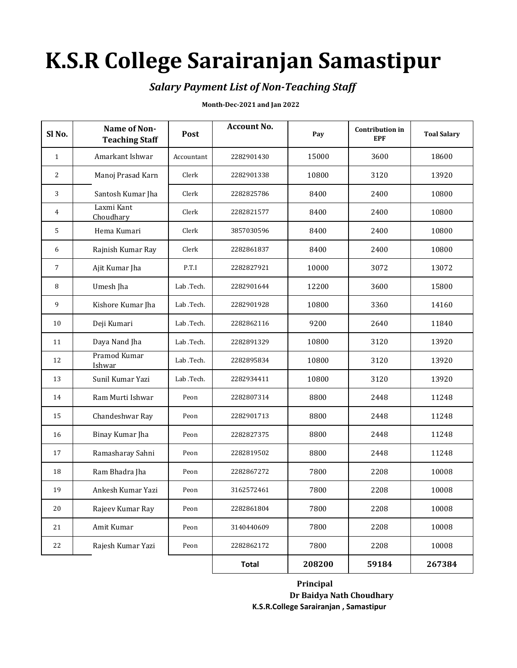## **K.S.R College Sarairanjan Samastipur**

### *Salary Payment List of Non-Teaching Staff*

#### **Month-Dec-2021 and Jan 2022**

| Sl <sub>No.</sub> | Name of Non-<br><b>Teaching Staff</b> | Post       | <b>Account No.</b> | Pay    | <b>Contribution</b> in<br><b>EPF</b> | <b>Toal Salary</b> |
|-------------------|---------------------------------------|------------|--------------------|--------|--------------------------------------|--------------------|
| $\mathbf{1}$      | Amarkant Ishwar                       | Accountant | 2282901430         | 15000  | 3600                                 | 18600              |
| 2                 | Manoj Prasad Karn                     | Clerk      | 2282901338         | 10800  | 3120                                 | 13920              |
| 3                 | Santosh Kumar Jha                     | Clerk      | 2282825786         | 8400   | 2400                                 | 10800              |
| 4                 | Laxmi Kant<br>Choudhary               | Clerk      | 2282821577         | 8400   | 2400                                 | 10800              |
| 5                 | Hema Kumari                           | Clerk      | 3857030596         | 8400   | 2400                                 | 10800              |
| 6                 | Rajnish Kumar Ray                     | Clerk      | 2282861837         | 8400   | 2400                                 | 10800              |
| 7                 | Ajit Kumar Jha                        | P.T.I      | 2282827921         | 10000  | 3072                                 | 13072              |
| 8                 | Umesh Jha                             | Lab .Tech. | 2282901644         | 12200  | 3600                                 | 15800              |
| 9                 | Kishore Kumar Jha                     | Lab .Tech. | 2282901928         | 10800  | 3360                                 | 14160              |
| 10                | Deji Kumari                           | Lab .Tech. | 2282862116         | 9200   | 2640                                 | 11840              |
| 11                | Daya Nand Jha                         | Lab .Tech. | 2282891329         | 10800  | 3120                                 | 13920              |
| 12                | Pramod Kumar<br>Ishwar                | Lab .Tech. | 2282895834         | 10800  | 3120                                 | 13920              |
| 13                | Sunil Kumar Yazi                      | Lab .Tech. | 2282934411         | 10800  | 3120                                 | 13920              |
| 14                | Ram Murti Ishwar                      | Peon       | 2282807314         | 8800   | 2448                                 | 11248              |
| 15                | Chandeshwar Ray                       | Peon       | 2282901713         | 8800   | 2448                                 | 11248              |
| 16                | Binay Kumar Jha                       | Peon       | 2282827375         | 8800   | 2448                                 | 11248              |
| 17                | Ramasharay Sahni                      | Peon       | 2282819502         | 8800   | 2448                                 | 11248              |
| 18                | Ram Bhadra Jha                        | Peon       | 2282867272         | 7800   | 2208                                 | 10008              |
| 19                | Ankesh Kumar Yazi                     | Peon       | 3162572461         | 7800   | 2208                                 | 10008              |
| 20                | Rajeev Kumar Ray                      | Peon       | 2282861804         | 7800   | 2208                                 | 10008              |
| 21                | Amit Kumar                            | Peon       | 3140440609         | 7800   | 2208                                 | 10008              |
| 22                | Rajesh Kumar Yazi                     | Peon       | 2282862172         | 7800   | 2208                                 | 10008              |
|                   |                                       |            | <b>Total</b>       | 208200 | 59184                                | 267384             |

 **Principal Dr Baidya Nath Choudhary K.S.R.College Sarairanjan , Samastipur**